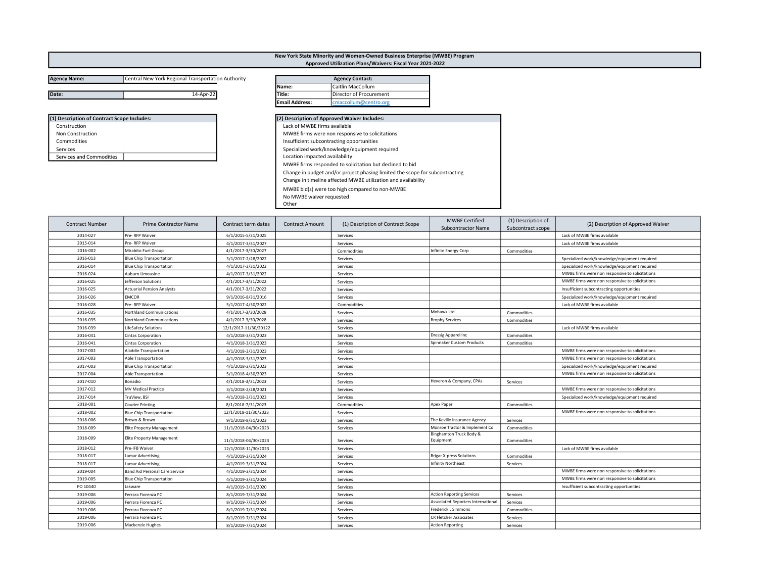|                     |                                                    |                | <b>INCW TOIN STATE INITIOTITY AND VIOLIEL-OWNED DU</b><br><b>Approved Utilization Plans/Waivers</b> |  |  |  |
|---------------------|----------------------------------------------------|----------------|-----------------------------------------------------------------------------------------------------|--|--|--|
| <b>Agency Name:</b> | Central New York Regional Transportation Authority |                | <b>Agency Contact:</b>                                                                              |  |  |  |
|                     |                                                    | lName:         | l Caitlin MacCollum                                                                                 |  |  |  |
| Date:               | 14-Apr-22                                          | Title:         | Director of Procurement                                                                             |  |  |  |
|                     |                                                    | Email Address. | cmaccollum@contro.org                                                                               |  |  |  |

| (1) Description of Contract Scope Includes: | (2) Description of Approved Waiver Includes:    |
|---------------------------------------------|-------------------------------------------------|
| Construction                                | Lack of MWBE firms available                    |
| Non Construction                            | MWBE firms were non responsive to solicitations |
| Commodities                                 | Insufficient subcontracting opportunities       |
| Services                                    | Specialized work/knowledge/equipment required   |
| Services and Commodities                    | Location impacted availability                  |

| Name:                                                         | Caitlin MacCollum                                                            |  |  |  |  |
|---------------------------------------------------------------|------------------------------------------------------------------------------|--|--|--|--|
| Title:                                                        | Director of Procurement                                                      |  |  |  |  |
| <b>Email Address:</b>                                         | cmaccollum@centro.org                                                        |  |  |  |  |
|                                                               |                                                                              |  |  |  |  |
|                                                               | (2) Description of Approved Waiver Includes:                                 |  |  |  |  |
| Lack of MWBE firms available                                  |                                                                              |  |  |  |  |
|                                                               | MWBE firms were non responsive to solicitations                              |  |  |  |  |
|                                                               | Insufficient subcontracting opportunities                                    |  |  |  |  |
|                                                               | Specialized work/knowledge/equipment required                                |  |  |  |  |
| Location impacted availability                                |                                                                              |  |  |  |  |
|                                                               | MWBE firms responded to solicitation but declined to bid                     |  |  |  |  |
|                                                               | Change in budget and/or project phasing limited the scope for subcontracting |  |  |  |  |
| Change in timeline affected MWBE utilization and availability |                                                                              |  |  |  |  |
|                                                               | MWBE bid(s) were too high compared to non-MWBE                               |  |  |  |  |
| No MWBE waiver requested                                      |                                                                              |  |  |  |  |
|                                                               |                                                                              |  |  |  |  |

New York State Minority and Women-Owned Business Enterprise (MWBE) Program Approved Utilization Plans/Waivers: Fiscal Year 2021-2022

**Other** 

| <b>Contract Number</b> | Prime Contractor Name                 | Contract term dates   | <b>Contract Amount</b> | (1) Description of Contract Scope | <b>MWBE Certified</b><br><b>Subcontractor Name</b> | (1) Description of<br>Subcontract scope | (2) Description of Approved Waiver              |
|------------------------|---------------------------------------|-----------------------|------------------------|-----------------------------------|----------------------------------------------------|-----------------------------------------|-------------------------------------------------|
| 2014-027               | Pre-RFP Waiver                        | 6/1/2015-5/31/2025    |                        | Services                          |                                                    |                                         | Lack of MWBE firms available                    |
| 2015-014               | Pre-RFP Waiver                        | 4/1/2017-3/31/2027    |                        | Services                          |                                                    |                                         | Lack of MWBE firms available                    |
| 2016-002               | Mirabito Fuel Group                   | 4/1/2017-3/30/2027    |                        | Commodities                       | Infinite Energy Corp                               | Commodities                             |                                                 |
| 2016-013               | <b>Blue Chip Transportation</b>       | 3/1/2017-2/28/2022    |                        | Services                          |                                                    |                                         | Specialized work/knowledge/equipment required   |
| 2016-014               | <b>Blue Chip Transportation</b>       | 4/1/2017-3/31/2022    |                        | Services                          |                                                    |                                         | Specialized work/knowledge/equipment required   |
| 2016-024               | Auburn Limousine                      | 4/1/2017-3/31/2022    |                        | Services                          |                                                    |                                         | MWBE firms were non responsive to solicitations |
| 2016-025               | Jefferson Solutions                   | 4/1/2017-3/31/2022    |                        | Services                          |                                                    |                                         | MWBE firms were non responsive to solicitations |
| 2016-025               | <b>Actuarial Pension Analysts</b>     | 4/1/2017-3/31/2022    |                        | Services                          |                                                    |                                         | Insufficient subcontracting opportunities       |
| 2016-026               | <b>EMCOR</b>                          | 9/1/2016-8/31/2016    |                        | Services                          |                                                    |                                         | Specialized work/knowledge/equipment required   |
| 2016-028               | Pre-RFP Waiver                        | 5/1/2017-4/30/2022    |                        | Commodities                       |                                                    |                                         | Lack of MWBE firms available                    |
| 2016-035               | Northland Communications              | 4/1/2017-3/30/2028    |                        | Services                          | Mohawk Ltd                                         | Commodities                             |                                                 |
| 2016-035               | <b>Northland Communications</b>       | 4/1/2017-3/30/2028    |                        | Services                          | <b>Brophy Services</b>                             | Commodities                             |                                                 |
| 2016-039               | LifeSafety Solutions                  | 12/1/2017-11/30/20122 |                        | Services                          |                                                    |                                         | Lack of MWBE firms available                    |
| 2016-041               | <b>Cintas Corporation</b>             | 4/1/2018-3/31/2023    |                        | Services                          | Dressig Apparel Inc                                | Commodities                             |                                                 |
| 2016-041               | <b>Cintas Corporation</b>             | 4/1/2018-3/31/2023    |                        | Services                          | Spinnaker Custom Products                          | Commodities                             |                                                 |
| 2017-002               | <b>Aladdin Transportation</b>         | 4/1/2018-3/31/2023    |                        | Services                          |                                                    |                                         | MWBE firms were non responsive to solicitations |
| 2017-003               | Able Transportation                   | 4/1/2018-3/31/2023    |                        | Services                          |                                                    |                                         | MWBE firms were non responsive to solicitations |
| 2017-003               | <b>Blue Chip Transportation</b>       | 4/1/2018-3/31/2023    |                        | Services                          |                                                    |                                         | Specialized work/knowledge/equipment required   |
| 2017-004               | Able Transportation                   | 5/1/2018-4/30/2023    |                        | Services                          |                                                    |                                         | MWBE firms were non responsive to solicitations |
| 2017-010               | Bonadio                               | 4/1/2018-3/31/2023    |                        | Services                          | Heveron & Company, CPAs                            | Services                                |                                                 |
| 2017-012               | <b>MV Medical Practice</b>            | 3/1/2018-2/28/2021    |                        | Services                          |                                                    |                                         | MWBE firms were non responsive to solicitations |
| 2017-014               | TruView, BSI                          | 4/1/2018-3/31/2023    |                        | Services                          |                                                    |                                         | Specialized work/knowledge/equipment required   |
| 2018-001               | <b>Courier Printing</b>               | 8/1/2018-7/31/2023    |                        | Commodities                       | Apex Paper                                         | Commodities                             |                                                 |
| 2018-002               | <b>Blue Chip Transportation</b>       | 12/1/2018-11/30/2023  |                        | Services                          |                                                    |                                         | MWBE firms were non responsive to solicitations |
| 2018-006               | Brown & Brown                         | 9/1/2018-8/31/2023    |                        | Services                          | The Keville Insurance Agency                       | Services                                |                                                 |
| 2018-009               | <b>Elite Property Management</b>      | 11/1/2018-04/30/2023  |                        | Services                          | Monroe Tractor & Implement Co                      | Commodities                             |                                                 |
| 2018-009               | <b>Elite Property Management</b>      | 11/1/2018-04/30/2023  |                        | Services                          | Binghamton Truck Body &<br>Equipment               | Commodities                             |                                                 |
| 2018-012               | Pre-IFB Waiver                        | 12/1/2018-11/30/2023  |                        | Services                          |                                                    |                                         | Lack of MWBE firms available                    |
| 2018-017               | <b>Lamar Advertising</b>              | 4/1/2019-3/31/2024    |                        | Services                          | <b>Brigar X-press Solutions</b>                    | Commodities                             |                                                 |
| 2018-017               | Lamar Advertising                     | 4/1/2019-3/31/2024    |                        | Services                          | <b>Infinity Northeast</b>                          | Services                                |                                                 |
| 2019-004               | <b>Band Aid Personal Care Service</b> | 4/1/2019-3/31/2024    |                        | Services                          |                                                    |                                         | MWBE firms were non responsive to solicitations |
| 2019-005               | <b>Blue Chip Transportation</b>       | 4/1/2019-3/31/2024    |                        | Services                          |                                                    |                                         | MWBE firms were non responsive to solicitations |
| PO 10440               | Jakware                               | 4/1/2019-3/31/2020    |                        | Services                          |                                                    |                                         | Insufficient subcontracting opportunities       |
| 2019-006               | Ferrara Fiorenza PC                   | 8/1/2019-7/31/2024    |                        | Services                          | <b>Action Reporting Services</b>                   | Services                                |                                                 |
| 2019-006               | Ferrara Fiorenza PC                   | 8/1/2019-7/31/2024    |                        | Services                          | Associated Reporters International                 | Services                                |                                                 |
| 2019-006               | Ferrara Fiorenza PC                   | 8/1/2019-7/31/2024    |                        | Services                          | Frederick L Simmons                                | Commodities                             |                                                 |
| 2019-006               | Ferrara Fiorenza PC                   | 8/1/2019-7/31/2024    |                        | Services                          | <b>CR Fletcher Associates</b>                      | Services                                |                                                 |
| 2019-006               | Mackenzie Hughes                      | 8/1/2019-7/31/2024    |                        | Services                          | <b>Action Reporting</b>                            | Services                                |                                                 |